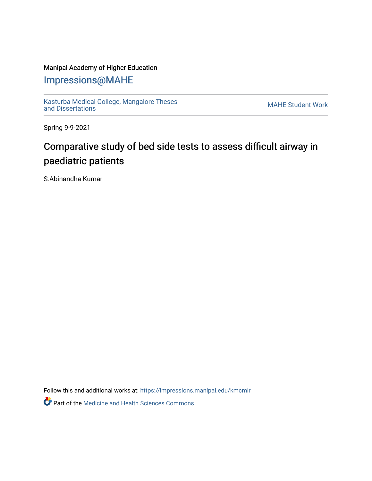## Manipal Academy of Higher Education

## [Impressions@MAHE](https://impressions.manipal.edu/)

[Kasturba Medical College, Mangalore Theses](https://impressions.manipal.edu/kmcmlr) Kasturba Medical College, Mangalore Theses<br>[and Dissertations](https://impressions.manipal.edu/kmcmlr) MAHE Student Work

Spring 9-9-2021

## Comparative study of bed side tests to assess difficult airway in paediatric patients

S.Abinandha Kumar

Follow this and additional works at: [https://impressions.manipal.edu/kmcmlr](https://impressions.manipal.edu/kmcmlr?utm_source=impressions.manipal.edu%2Fkmcmlr%2F247&utm_medium=PDF&utm_campaign=PDFCoverPages) 

**Part of the Medicine and Health Sciences Commons**